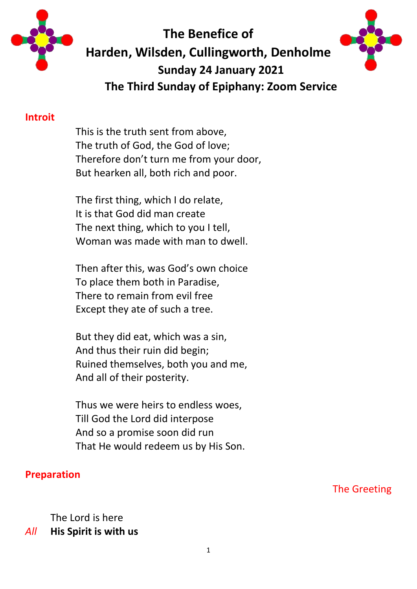

# **The Benefice of Harden, Wilsden, Cullingworth, Denholme Sunday 24 January 2021 The Third Sunday of Epiphany: Zoom Service**



#### **Introit**

This is the truth sent from above, The truth of God, the God of love; Therefore don't turn me from your door, But hearken all, both rich and poor.

The first thing, which I do relate, It is that God did man create The next thing, which to you I tell, Woman was made with man to dwell.

Then after this, was God's own choice To place them both in Paradise, There to remain from evil free Except they ate of such a tree.

But they did eat, which was a sin, And thus their ruin did begin; Ruined themselves, both you and me, And all of their posterity.

Thus we were heirs to endless woes, Till God the Lord did interpose And so a promise soon did run That He would redeem us by His Son.

#### **Preparation**

The Greeting

The Lord is here *All* **His Spirit is with us**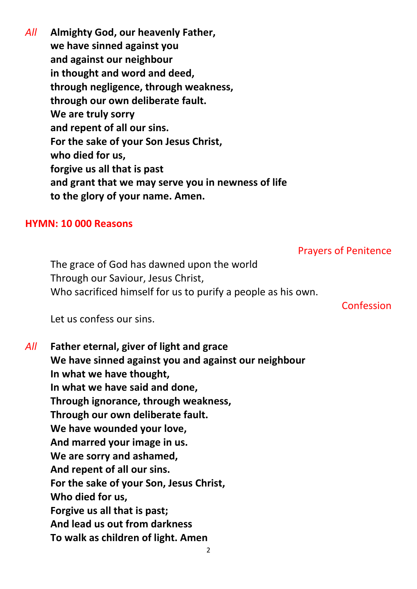*All* **Almighty God, our heavenly Father, we have sinned against you and against our neighbour in thought and word and deed, through negligence, through weakness, through our own deliberate fault. We are truly sorry and repent of all our sins. For the sake of your Son Jesus Christ, who died for us, forgive us all that is past and grant that we may serve you in newness of life to the glory of your name. Amen.**

#### **HYMN: 10 000 Reasons**

Prayers of Penitence

The grace of God has dawned upon the world Through our Saviour, Jesus Christ, Who sacrificed himself for us to purify a people as his own.

Confession

Let us confess our sins.

*All* **Father eternal, giver of light and grace We have sinned against you and against our neighbour In what we have thought, In what we have said and done, Through ignorance, through weakness, Through our own deliberate fault. We have wounded your love, And marred your image in us. We are sorry and ashamed, And repent of all our sins. For the sake of your Son, Jesus Christ, Who died for us, Forgive us all that is past; And lead us out from darkness To walk as children of light. Amen**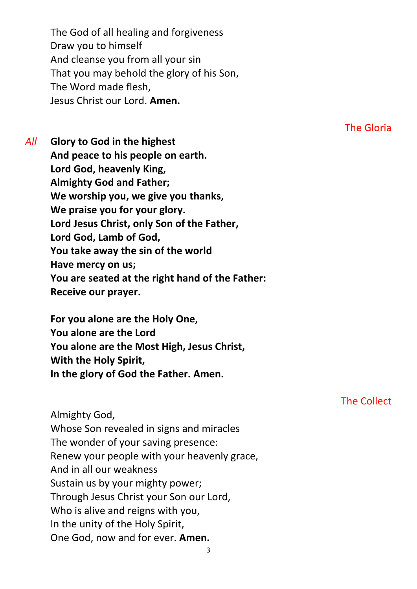The God of all healing and forgiveness Draw you to himself And cleanse you from all your sin That you may behold the glory of his Son, The Word made flesh, Jesus Christ our Lord. **Amen.**

The Gloria

*All* **Glory to God in the highest And peace to his people on earth. Lord God, heavenly King, Almighty God and Father; We worship you, we give you thanks, We praise you for your glory. Lord Jesus Christ, only Son of the Father, Lord God, Lamb of God, You take away the sin of the world Have mercy on us; You are seated at the right hand of the Father: Receive our prayer.**

> **For you alone are the Holy One, You alone are the Lord You alone are the Most High, Jesus Christ, With the Holy Spirit, In the glory of God the Father. Amen.**

Almighty God, Whose Son revealed in signs and miracles The wonder of your saving presence: Renew your people with your heavenly grace, And in all our weakness Sustain us by your mighty power; Through Jesus Christ your Son our Lord, Who is alive and reigns with you, In the unity of the Holy Spirit, One God, now and for ever. **Amen.**

The Collect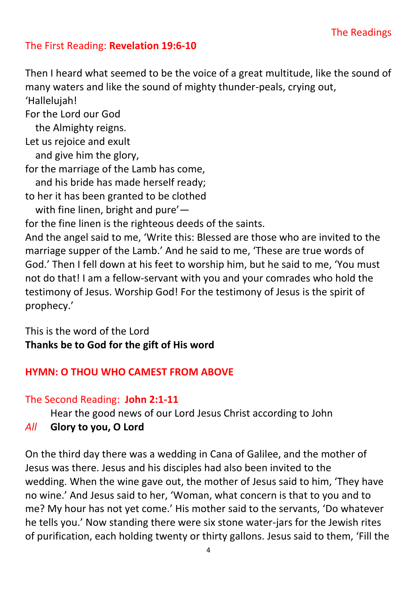## The First Reading: **Revelation 19:6-10**

Then I heard what seemed to be the voice of a great multitude, like the sound of many waters and like the sound of mighty thunder-peals, crying out, 'Hallelujah!

For the Lord our God

the Almighty reigns.

Let us rejoice and exult

and give him the glory,

for the marriage of the Lamb has come,

and his bride has made herself ready;

to her it has been granted to be clothed

with fine linen, bright and pure'—

for the fine linen is the righteous deeds of the saints.

And the angel said to me, 'Write this: Blessed are those who are invited to the marriage supper of the Lamb.' And he said to me, 'These are true words of God.' Then I fell down at his feet to worship him, but he said to me, 'You must not do that! I am a fellow-servant with you and your comrades who hold the testimony of Jesus. Worship God! For the testimony of Jesus is the spirit of prophecy.'

This is the word of the Lord **Thanks be to God for the gift of His word**

# **HYMN: O THOU WHO CAMEST FROM ABOVE**

#### The Second Reading: **John 2:1-11**

Hear the good news of our Lord Jesus Christ according to John

*All* **Glory to you, O Lord**

On the third day there was a wedding in Cana of Galilee, and the mother of Jesus was there. Jesus and his disciples had also been invited to the wedding. When the wine gave out, the mother of Jesus said to him, 'They have no wine.' And Jesus said to her, 'Woman, what concern is that to you and to me? My hour has not yet come.' His mother said to the servants, 'Do whatever he tells you.' Now standing there were six stone water-jars for the Jewish rites of purification, each holding twenty or thirty gallons. Jesus said to them, 'Fill the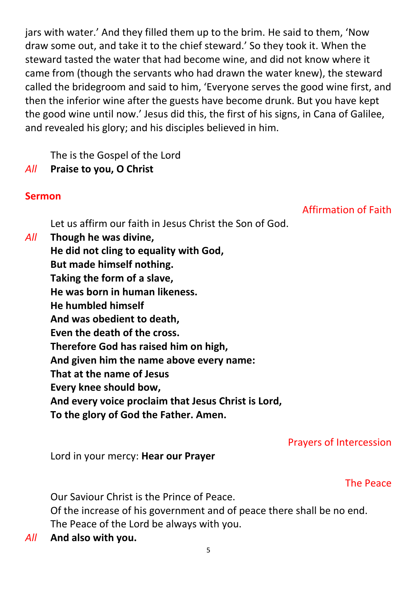jars with water.' And they filled them up to the brim. He said to them, 'Now draw some out, and take it to the chief steward.' So they took it. When the steward tasted the water that had become wine, and did not know where it came from (though the servants who had drawn the water knew), the steward called the bridegroom and said to him, 'Everyone serves the good wine first, and then the inferior wine after the guests have become drunk. But you have kept the good wine until now.' Jesus did this, the first of his signs, in Cana of Galilee, and revealed his glory; and his disciples believed in him.

The is the Gospel of the Lord

# *All* **Praise to you, O Christ**

## **Sermon**

Affirmation of Faith

Let us affirm our faith in Jesus Christ the Son of God.

*All* **Though he was divine, He did not cling to equality with God, But made himself nothing. Taking the form of a slave, He was born in human likeness. He humbled himself And was obedient to death, Even the death of the cross. Therefore God has raised him on high, And given him the name above every name: That at the name of Jesus Every knee should bow, And every voice proclaim that Jesus Christ is Lord, To the glory of God the Father. Amen.**

Prayers of Intercession

Lord in your mercy: **Hear our Prayer**

#### The Peace

Our Saviour Christ is the Prince of Peace.

Of the increase of his government and of peace there shall be no end. The Peace of the Lord be always with you.

*All* **And also with you.**

5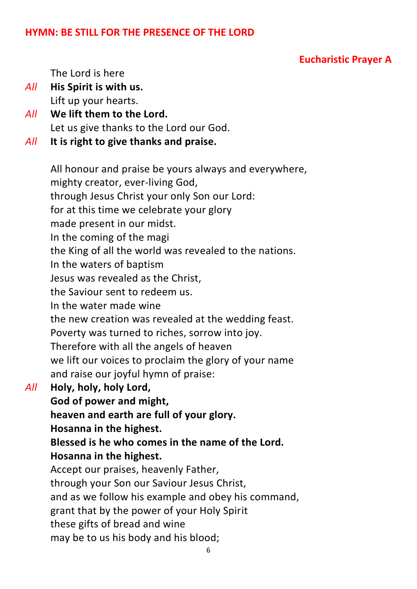# **Eucharistic Prayer A**

The Lord is here

- *All* **His Spirit is with us.** Lift up your hearts.
- *All* **We lift them to the Lord.** Let us give thanks to the Lord our God.
- *All* **It is right to give thanks and praise.**

6 All honour and praise be yours always and everywhere, mighty creator, ever-living God, through Jesus Christ your only Son our Lord: for at this time we celebrate your glory made present in our midst. In the coming of the magi the King of all the world was revealed to the nations. In the waters of baptism Jesus was revealed as the Christ, the Saviour sent to redeem us. In the water made wine the new creation was revealed at the wedding feast. Poverty was turned to riches, sorrow into joy. Therefore with all the angels of heaven we lift our voices to proclaim the glory of your name and raise our joyful hymn of praise: *All* **Holy, holy, holy Lord, God of power and might, heaven and earth are full of your glory. Hosanna in the highest. Blessed is he who comes in the name of the Lord. Hosanna in the highest.** Accept our praises, heavenly Father, through your Son our Saviour Jesus Christ, and as we follow his example and obey his command, grant that by the power of your Holy Spirit these gifts of bread and wine may be to us his body and his blood;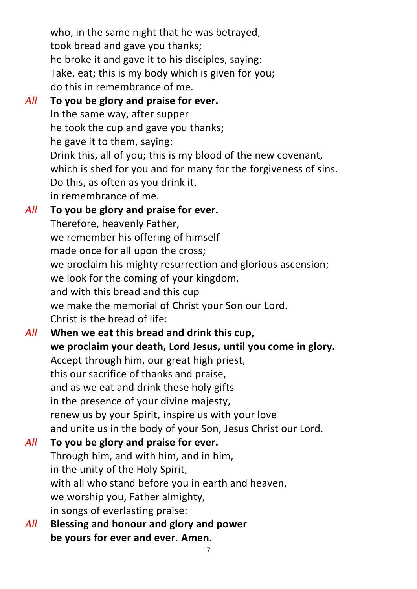who, in the same night that he was betrayed, took bread and gave you thanks; he broke it and gave it to his disciples, saying: Take, eat; this is my body which is given for you; do this in remembrance of me.

- *All* **To you be glory and praise for ever.** In the same way, after supper he took the cup and gave you thanks; he gave it to them, saying: Drink this, all of you; this is my blood of the new covenant, which is shed for you and for many for the forgiveness of sins. Do this, as often as you drink it, in remembrance of me.
- *All* **To you be glory and praise for ever.** Therefore, heavenly Father, we remember his offering of himself made once for all upon the cross; we proclaim his mighty resurrection and glorious ascension; we look for the coming of your kingdom, and with this bread and this cup we make the memorial of Christ your Son our Lord. Christ is the bread of life:
- *All* **When we eat this bread and drink this cup, we proclaim your death, Lord Jesus, until you come in glory.** Accept through him, our great high priest, this our sacrifice of thanks and praise, and as we eat and drink these holy gifts in the presence of your divine majesty, renew us by your Spirit, inspire us with your love and unite us in the body of your Son, Jesus Christ our Lord.
- *All* **To you be glory and praise for ever.** Through him, and with him, and in him, in the unity of the Holy Spirit, with all who stand before you in earth and heaven, we worship you, Father almighty, in songs of everlasting praise:
- *All* **Blessing and honour and glory and power be yours for ever and ever. Amen.**